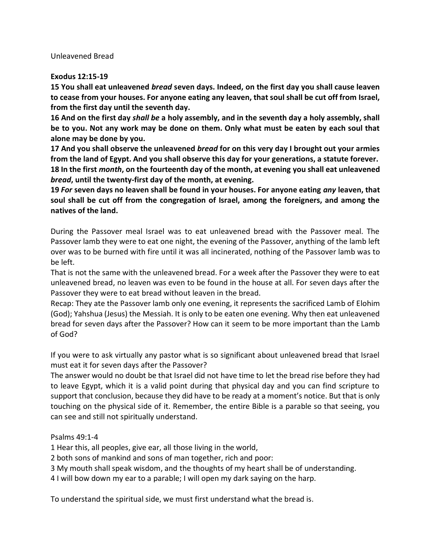Unleavened Bread

## **Exodus 12:15-19**

**15 You shall eat unleavened** *bread* **seven days. Indeed, on the first day you shall cause leaven to cease from your houses. For anyone eating any leaven, that soul shall be cut off from Israel, from the first day until the seventh day.**

**16 And on the first day** *shall be* **a holy assembly, and in the seventh day a holy assembly, shall be to you. Not any work may be done on them. Only what must be eaten by each soul that alone may be done by you.**

**17 And you shall observe the unleavened** *bread* **for on this very day I brought out your armies from the land of Egypt. And you shall observe this day for your generations, a statute forever. 18 In the first** *month***, on the fourteenth day of the month, at evening you shall eat unleavened**  *bread***, until the twenty-first day of the month, at evening.**

**19** *For* **seven days no leaven shall be found in your houses. For anyone eating** *any* **leaven, that soul shall be cut off from the congregation of Israel, among the foreigners, and among the natives of the land.**

During the Passover meal Israel was to eat unleavened bread with the Passover meal. The Passover lamb they were to eat one night, the evening of the Passover, anything of the lamb left over was to be burned with fire until it was all incinerated, nothing of the Passover lamb was to be left.

That is not the same with the unleavened bread. For a week after the Passover they were to eat unleavened bread, no leaven was even to be found in the house at all. For seven days after the Passover they were to eat bread without leaven in the bread.

Recap: They ate the Passover lamb only one evening, it represents the sacrificed Lamb of Elohim (God); Yahshua (Jesus) the Messiah. It is only to be eaten one evening. Why then eat unleavened bread for seven days after the Passover? How can it seem to be more important than the Lamb of God?

If you were to ask virtually any pastor what is so significant about unleavened bread that Israel must eat it for seven days after the Passover?

The answer would no doubt be that Israel did not have time to let the bread rise before they had to leave Egypt, which it is a valid point during that physical day and you can find scripture to support that conclusion, because they did have to be ready at a moment's notice. But that is only touching on the physical side of it. Remember, the entire Bible is a parable so that seeing, you can see and still not spiritually understand.

Psalms 49:1-4

1 Hear this, all peoples, give ear, all those living in the world,

2 both sons of mankind and sons of man together, rich and poor:

3 My mouth shall speak wisdom, and the thoughts of my heart shall be of understanding.

4 I will bow down my ear to a parable; I will open my dark saying on the harp.

To understand the spiritual side, we must first understand what the bread is.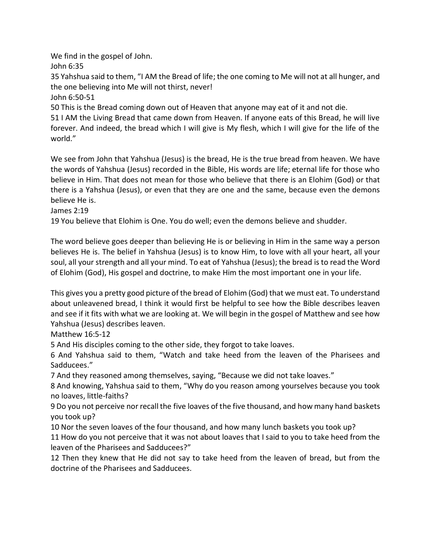We find in the gospel of John.

John 6:35

35 Yahshua said to them, "I AM the Bread of life; the one coming to Me will not at all hunger, and the one believing into Me will not thirst, never!

John 6:50-51

50 This is the Bread coming down out of Heaven that anyone may eat of it and not die.

51 I AM the Living Bread that came down from Heaven. If anyone eats of this Bread, he will live forever. And indeed, the bread which I will give is My flesh, which I will give for the life of the world."

We see from John that Yahshua (Jesus) is the bread, He is the true bread from heaven. We have the words of Yahshua (Jesus) recorded in the Bible, His words are life; eternal life for those who believe in Him. That does not mean for those who believe that there is an Elohim (God) or that there is a Yahshua (Jesus), or even that they are one and the same, because even the demons believe He is.

James 2:19

19 You believe that Elohim is One. You do well; even the demons believe and shudder.

The word believe goes deeper than believing He is or believing in Him in the same way a person believes He is. The belief in Yahshua (Jesus) is to know Him, to love with all your heart, all your soul, all your strength and all your mind. To eat of Yahshua (Jesus); the bread is to read the Word of Elohim (God), His gospel and doctrine, to make Him the most important one in your life.

This gives you a pretty good picture of the bread of Elohim (God) that we must eat. To understand about unleavened bread, I think it would first be helpful to see how the Bible describes leaven and see if it fits with what we are looking at. We will begin in the gospel of Matthew and see how Yahshua (Jesus) describes leaven.

Matthew 16:5-12

5 And His disciples coming to the other side, they forgot to take loaves.

6 And Yahshua said to them, "Watch and take heed from the leaven of the Pharisees and Sadducees."

7 And they reasoned among themselves, saying, "Because we did not take loaves."

8 And knowing, Yahshua said to them, "Why do you reason among yourselves because you took no loaves, little-faiths?

9 Do you not perceive nor recall the five loaves of the five thousand, and how many hand baskets you took up?

10 Nor the seven loaves of the four thousand, and how many lunch baskets you took up?

11 How do you not perceive that it was not about loaves that I said to you to take heed from the leaven of the Pharisees and Sadducees?"

12 Then they knew that He did not say to take heed from the leaven of bread, but from the doctrine of the Pharisees and Sadducees.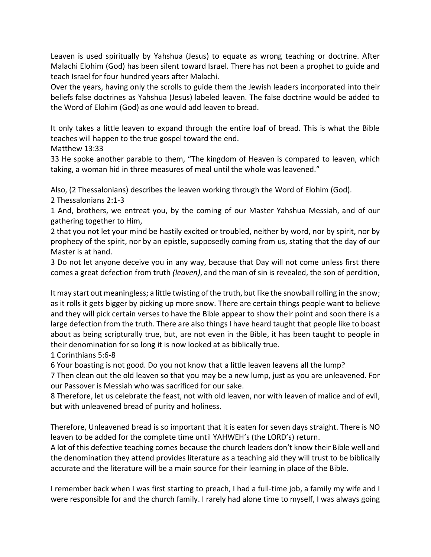Leaven is used spiritually by Yahshua (Jesus) to equate as wrong teaching or doctrine. After Malachi Elohim (God) has been silent toward Israel. There has not been a prophet to guide and teach Israel for four hundred years after Malachi.

Over the years, having only the scrolls to guide them the Jewish leaders incorporated into their beliefs false doctrines as Yahshua (Jesus) labeled leaven. The false doctrine would be added to the Word of Elohim (God) as one would add leaven to bread.

It only takes a little leaven to expand through the entire loaf of bread. This is what the Bible teaches will happen to the true gospel toward the end.

Matthew 13:33

33 He spoke another parable to them, "The kingdom of Heaven is compared to leaven, which taking, a woman hid in three measures of meal until the whole was leavened."

Also, (2 Thessalonians) describes the leaven working through the Word of Elohim (God).

2 Thessalonians 2:1-3

1 And, brothers, we entreat you, by the coming of our Master Yahshua Messiah, and of our gathering together to Him,

2 that you not let your mind be hastily excited or troubled, neither by word, nor by spirit, nor by prophecy of the spirit, nor by an epistle, supposedly coming from us, stating that the day of our Master is at hand.

3 Do not let anyone deceive you in any way, because that Day will not come unless first there comes a great defection from truth *(leaven)*, and the man of sin is revealed, the son of perdition,

It may start out meaningless; a little twisting of the truth, but like the snowball rolling in the snow; as it rolls it gets bigger by picking up more snow. There are certain things people want to believe and they will pick certain verses to have the Bible appear to show their point and soon there is a large defection from the truth. There are also things I have heard taught that people like to boast about as being scripturally true, but, are not even in the Bible, it has been taught to people in their denomination for so long it is now looked at as biblically true.

1 Corinthians 5:6-8

6 Your boasting is not good. Do you not know that a little leaven leavens all the lump?

7 Then clean out the old leaven so that you may be a new lump, just as you are unleavened. For our Passover is Messiah who was sacrificed for our sake.

8 Therefore, let us celebrate the feast, not with old leaven, nor with leaven of malice and of evil, but with unleavened bread of purity and holiness.

Therefore, Unleavened bread is so important that it is eaten for seven days straight. There is NO leaven to be added for the complete time until YAHWEH's (the LORD's) return.

A lot of this defective teaching comes because the church leaders don't know their Bible well and the denomination they attend provides literature as a teaching aid they will trust to be biblically accurate and the literature will be a main source for their learning in place of the Bible.

I remember back when I was first starting to preach, I had a full-time job, a family my wife and I were responsible for and the church family. I rarely had alone time to myself, I was always going